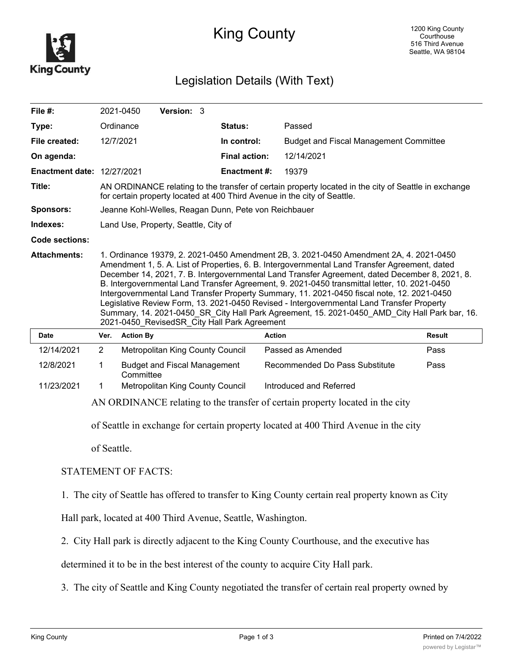

## King County

## Legislation Details (With Text)

| File #:                           |                                                                                                                                                                                                                                                                                                                                                                                                                                                                                                                                            | 2021-0450                                                                     | Version: 3                          |  |                      |                                               |               |  |
|-----------------------------------|--------------------------------------------------------------------------------------------------------------------------------------------------------------------------------------------------------------------------------------------------------------------------------------------------------------------------------------------------------------------------------------------------------------------------------------------------------------------------------------------------------------------------------------------|-------------------------------------------------------------------------------|-------------------------------------|--|----------------------|-----------------------------------------------|---------------|--|
| Type:                             |                                                                                                                                                                                                                                                                                                                                                                                                                                                                                                                                            | Ordinance                                                                     |                                     |  | Status:              | Passed                                        |               |  |
| File created:                     |                                                                                                                                                                                                                                                                                                                                                                                                                                                                                                                                            | 12/7/2021                                                                     |                                     |  | In control:          | <b>Budget and Fiscal Management Committee</b> |               |  |
| On agenda:                        |                                                                                                                                                                                                                                                                                                                                                                                                                                                                                                                                            |                                                                               |                                     |  | <b>Final action:</b> | 12/14/2021                                    |               |  |
| <b>Enactment date: 12/27/2021</b> |                                                                                                                                                                                                                                                                                                                                                                                                                                                                                                                                            |                                                                               |                                     |  | <b>Enactment #:</b>  | 19379                                         |               |  |
| Title:                            | AN ORDINANCE relating to the transfer of certain property located in the city of Seattle in exchange<br>for certain property located at 400 Third Avenue in the city of Seattle.                                                                                                                                                                                                                                                                                                                                                           |                                                                               |                                     |  |                      |                                               |               |  |
| <b>Sponsors:</b>                  | Jeanne Kohl-Welles, Reagan Dunn, Pete von Reichbauer                                                                                                                                                                                                                                                                                                                                                                                                                                                                                       |                                                                               |                                     |  |                      |                                               |               |  |
| Indexes:                          | Land Use, Property, Seattle, City of                                                                                                                                                                                                                                                                                                                                                                                                                                                                                                       |                                                                               |                                     |  |                      |                                               |               |  |
| Code sections:                    |                                                                                                                                                                                                                                                                                                                                                                                                                                                                                                                                            |                                                                               |                                     |  |                      |                                               |               |  |
|                                   | December 14, 2021, 7. B. Intergovernmental Land Transfer Agreement, dated December 8, 2021, 8.<br>B. Intergovernmental Land Transfer Agreement, 9. 2021-0450 transmittal letter, 10. 2021-0450<br>Intergovernmental Land Transfer Property Summary, 11. 2021-0450 fiscal note, 12. 2021-0450<br>Legislative Review Form, 13. 2021-0450 Revised - Intergovernmental Land Transfer Property<br>Summary, 14. 2021-0450_SR_City Hall Park Agreement, 15. 2021-0450_AMD_City Hall Park bar, 16.<br>2021-0450 RevisedSR City Hall Park Agreement |                                                                               |                                     |  |                      |                                               |               |  |
| <b>Date</b>                       | Ver.                                                                                                                                                                                                                                                                                                                                                                                                                                                                                                                                       | <b>Action By</b>                                                              |                                     |  |                      | <b>Action</b>                                 | <b>Result</b> |  |
| 12/14/2021                        | $\overline{2}$                                                                                                                                                                                                                                                                                                                                                                                                                                                                                                                             |                                                                               | Metropolitan King County Council    |  |                      | Passed as Amended                             | Pass          |  |
| 12/8/2021                         | 1                                                                                                                                                                                                                                                                                                                                                                                                                                                                                                                                          | Committee                                                                     | <b>Budget and Fiscal Management</b> |  |                      | Recommended Do Pass Substitute                | Pass          |  |
| 11/23/2021                        | 1                                                                                                                                                                                                                                                                                                                                                                                                                                                                                                                                          |                                                                               | Metropolitan King County Council    |  |                      | Introduced and Referred                       |               |  |
|                                   |                                                                                                                                                                                                                                                                                                                                                                                                                                                                                                                                            | AN ORDINANCE relating to the transfer of certain property located in the city |                                     |  |                      |                                               |               |  |
|                                   | of Seattle in exchange for certain property located at 400 Third Avenue in the city                                                                                                                                                                                                                                                                                                                                                                                                                                                        |                                                                               |                                     |  |                      |                                               |               |  |
|                                   | of Seattle.                                                                                                                                                                                                                                                                                                                                                                                                                                                                                                                                |                                                                               |                                     |  |                      |                                               |               |  |
| <b>STATEMENT OF FACTS:</b>        |                                                                                                                                                                                                                                                                                                                                                                                                                                                                                                                                            |                                                                               |                                     |  |                      |                                               |               |  |

1. The city of Seattle has offered to transfer to King County certain real property known as City

Hall park, located at 400 Third Avenue, Seattle, Washington.

2. City Hall park is directly adjacent to the King County Courthouse, and the executive has

determined it to be in the best interest of the county to acquire City Hall park.

3. The city of Seattle and King County negotiated the transfer of certain real property owned by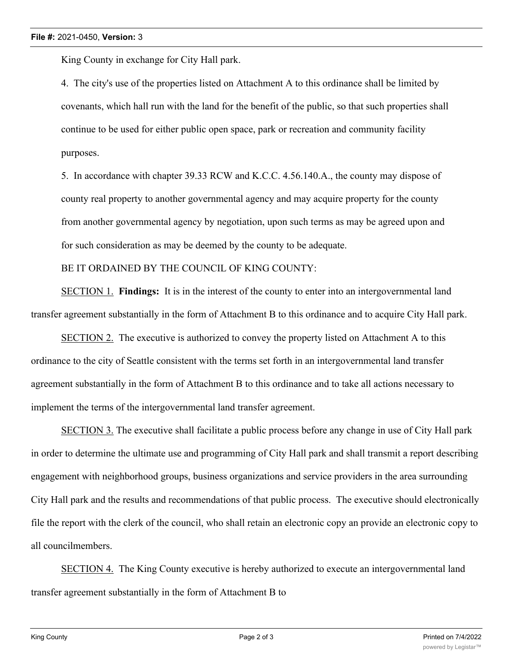King County in exchange for City Hall park.

4. The city's use of the properties listed on Attachment A to this ordinance shall be limited by covenants, which hall run with the land for the benefit of the public, so that such properties shall continue to be used for either public open space, park or recreation and community facility purposes.

5. In accordance with chapter 39.33 RCW and K.C.C. 4.56.140.A., the county may dispose of county real property to another governmental agency and may acquire property for the county from another governmental agency by negotiation, upon such terms as may be agreed upon and for such consideration as may be deemed by the county to be adequate.

BE IT ORDAINED BY THE COUNCIL OF KING COUNTY:

SECTION 1. **Findings:** It is in the interest of the county to enter into an intergovernmental land transfer agreement substantially in the form of Attachment B to this ordinance and to acquire City Hall park.

SECTION 2. The executive is authorized to convey the property listed on Attachment A to this ordinance to the city of Seattle consistent with the terms set forth in an intergovernmental land transfer agreement substantially in the form of Attachment B to this ordinance and to take all actions necessary to implement the terms of the intergovernmental land transfer agreement.

SECTION 3. The executive shall facilitate a public process before any change in use of City Hall park in order to determine the ultimate use and programming of City Hall park and shall transmit a report describing engagement with neighborhood groups, business organizations and service providers in the area surrounding City Hall park and the results and recommendations of that public process. The executive should electronically file the report with the clerk of the council, who shall retain an electronic copy an provide an electronic copy to all councilmembers.

SECTION 4. The King County executive is hereby authorized to execute an intergovernmental land transfer agreement substantially in the form of Attachment B to